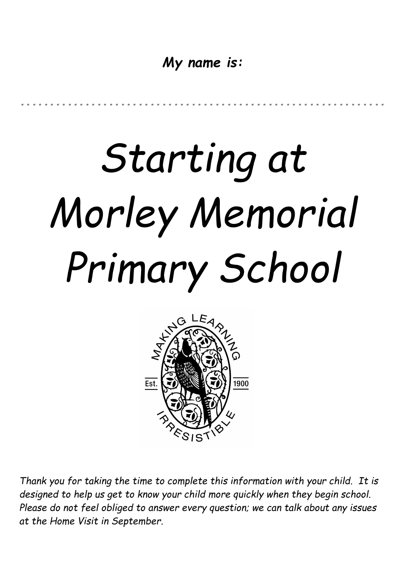*My name is:*

*..............................................................*

# *Starting at Morley Memorial Primary School*



*Thank you for taking the time to complete this information with your child. It is designed to help us get to know your child more quickly when they begin school. Please do not feel obliged to answer every question; we can talk about any issues at the Home Visit in September.*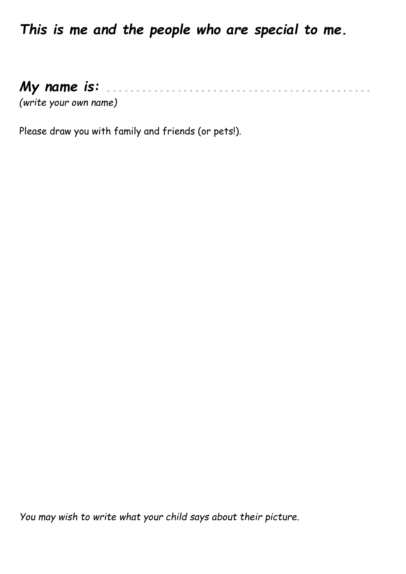*This is me and the people who are special to me.*

#### *My name is: .............................................*

*(write your own name)*

Please draw you with family and friends (or pets!).

*You may wish to write what your child says about their picture.*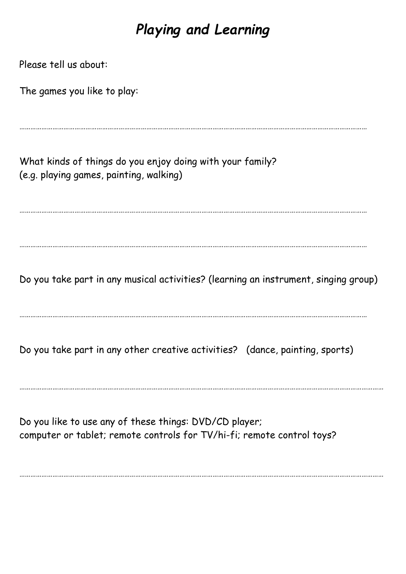## *Playing and Learning*

| Please tell us about:                                                                                                            |
|----------------------------------------------------------------------------------------------------------------------------------|
| The games you like to play:                                                                                                      |
|                                                                                                                                  |
| What kinds of things do you enjoy doing with your family?<br>(e.g. playing games, painting, walking)                             |
|                                                                                                                                  |
| Do you take part in any musical activities? (learning an instrument, singing group)                                              |
| Do you take part in any other creative activities? (dance, painting, sports)                                                     |
| Do you like to use any of these things: DVD/CD player;<br>computer or tablet; remote controls for TV/hi-fi; remote control toys? |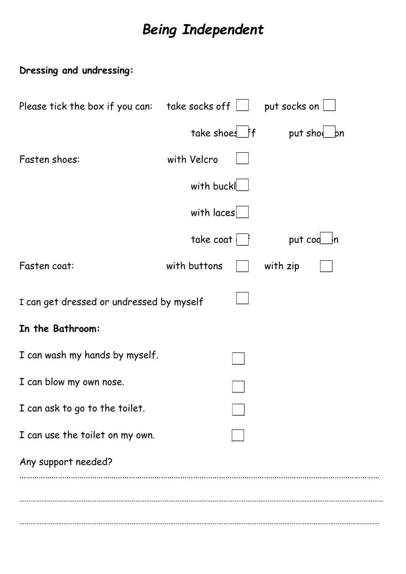## **Being Independent**

#### Dressing and undressing:

| Please tick the box if you can:          | take socks off $\bigsqcup$ put socks on |          |             |
|------------------------------------------|-----------------------------------------|----------|-------------|
|                                          | take shoes ff                           |          | put shol bn |
| Fasten shoes:                            | with Velcro                             |          |             |
|                                          | with buckl                              |          |             |
|                                          | with $ access $                         |          |             |
|                                          | $\mathsf{take\ cost}$                   | put cod  | n           |
| Fasten coat:                             | with buttons                            | with zip |             |
| I can get dressed or undressed by myself |                                         |          |             |
| In the Bathroom:                         |                                         |          |             |
| I can wash my hands by myself.           |                                         |          |             |
| I can blow my own nose.                  |                                         |          |             |
| I can ask to go to the toilet.           |                                         |          |             |
| I can use the toilet on my own.          |                                         |          |             |
| Any support needed?                      |                                         |          |             |
|                                          |                                         |          |             |
|                                          |                                         |          |             |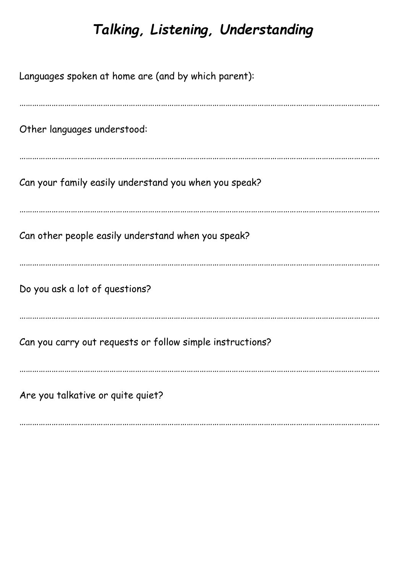## *Talking, Listening, Understanding*

| Languages spoken at home are (and by which parent):       |
|-----------------------------------------------------------|
| Other languages understood:                               |
| Can your family easily understand you when you speak?     |
| Can other people easily understand when you speak?        |
| Do you ask a lot of questions?                            |
| Can you carry out requests or follow simple instructions? |
| Are you talkative or quite quiet?                         |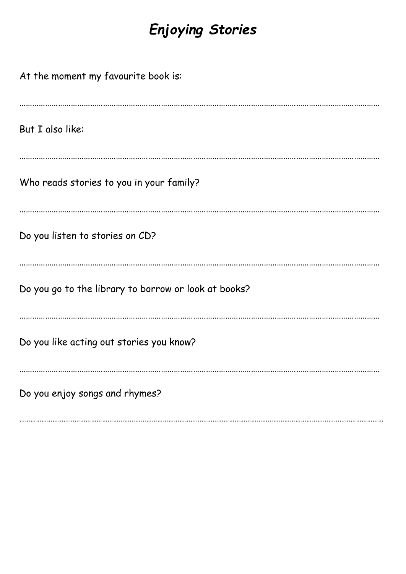## *Enjoying Stories*

| At the moment my favourite book is:                  |
|------------------------------------------------------|
| But I also like:                                     |
| Who reads stories to you in your family?             |
| Do you listen to stories on CD?                      |
| Do you go to the library to borrow or look at books? |
| Do you like acting out stories you know?             |
| Do you enjoy songs and rhymes?                       |

………………………………………………………………………………………………………………………………………………………………………………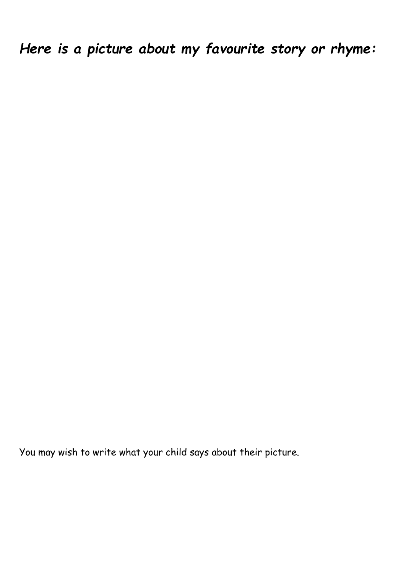*Here is a picture about my favourite story or rhyme:*

You may wish to write what your child says about their picture.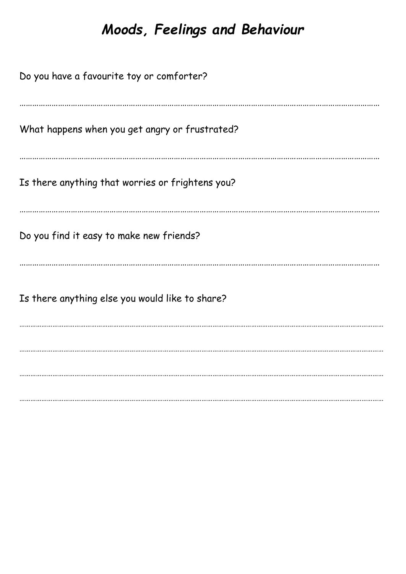### Moods, Feelings and Behaviour

Do you have a favourite toy or comforter? What happens when you get angry or frustrated? Is there anything that worries or frightens you? Do you find it easy to make new friends? Is there anything else you would like to share?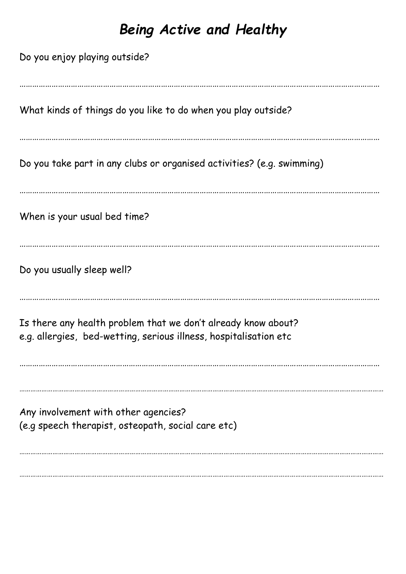## *Being Active and Healthy*

| Do you enjoy playing outside?                                                                                                      |
|------------------------------------------------------------------------------------------------------------------------------------|
| What kinds of things do you like to do when you play outside?                                                                      |
| Do you take part in any clubs or organised activities? (e.g. swimming)                                                             |
| When is your usual bed time?                                                                                                       |
| Do you usually sleep well?                                                                                                         |
| Is there any health problem that we don't already know about?<br>e.g. allergies, bed-wetting, serious illness, hospitalisation etc |
| Any involvement with other agencies?<br>(e.g speech therapist, osteopath, social care etc)                                         |